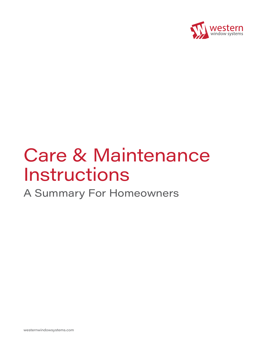

# Care & Maintenance Instructions

A Summary For Homeowners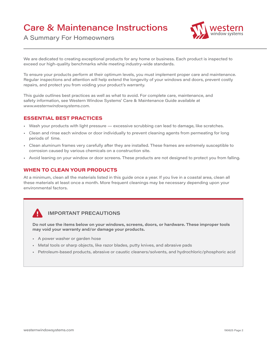# Care & Maintenance Instructions



A Summary For Homeowners

We are dedicated to creating exceptional products for any home or business. Each product is inspected to exceed our high-quality benchmarks while meeting industry-wide standards.

To ensure your products perform at their optimum levels, you must implement proper care and maintenance. Regular inspections and attention will help extend the longevity of your windows and doors, prevent costly repairs, and protect you from voiding your product's warranty.

This guide outlines best practices as well as what to avoid. For complete care, maintenance, and safety information, see Western Window Systems' Care & Maintenance Guide available at *www.westernwindowsystems.com*.

#### **ESSENTIAL BEST PRACTICES**

- Wash your products with light pressure excessive scrubbing can lead to damage, like scratches.
- Clean and rinse each window or door individually to prevent cleaning agents from permeating for long periods of time.
- Clean aluminum frames very carefully after they are installed. These frames are extremely susceptible to corrosion caused by various chemicals on a construction site.
- Avoid leaning on your window or door screens. These products are not designed to protect you from falling.

#### **WHEN TO CLEAN YOUR PRODUCTS**

At a minimum, clean all the materials listed in this guide once a year. If you live in a coastal area, clean all these materials at least once a month. More frequent cleanings may be necessary depending upon your environmental factors.

#### **IMPORTANT PRECAUTIONS**

**Do not use the items below on your windows, screens, doors, or hardware. These improper tools may void your warranty and/or damage your products.**

- A power washer or garden hose
- Metal tools or sharp objects, like razor blades, putty knives, and abrasive pads
- Petroleum-based products, abrasive or caustic cleaners/solvents, and hydrochloric/phosphoric acid